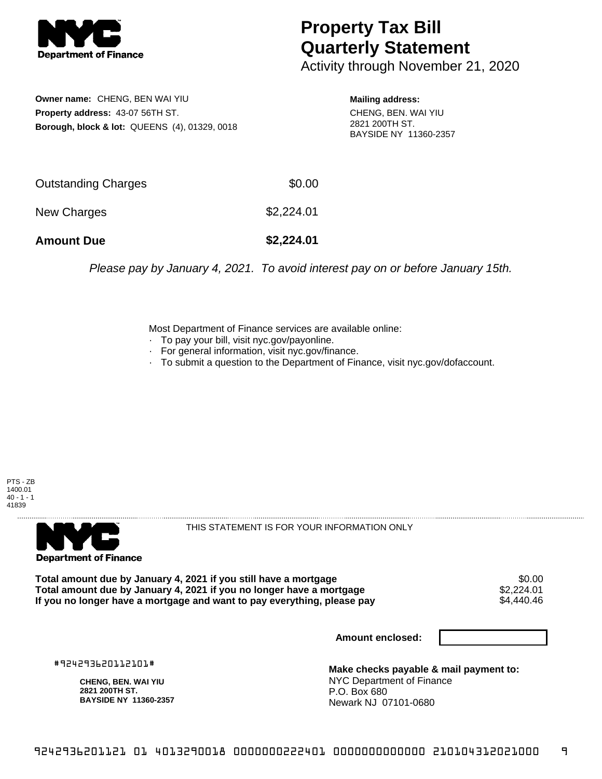

## **Property Tax Bill Quarterly Statement**

Activity through November 21, 2020

**Owner name:** CHENG, BEN WAI YIU **Property address:** 43-07 56TH ST. **Borough, block & lot:** QUEENS (4), 01329, 0018

**Mailing address:** CHENG, BEN. WAI YIU 2821 200TH ST. BAYSIDE NY 11360-2357

| <b>Amount Due</b>   | \$2,224.01 |
|---------------------|------------|
| New Charges         | \$2,224.01 |
| Outstanding Charges | \$0.00     |

Please pay by January 4, 2021. To avoid interest pay on or before January 15th.

Most Department of Finance services are available online:

- · To pay your bill, visit nyc.gov/payonline.
- For general information, visit nyc.gov/finance.
- · To submit a question to the Department of Finance, visit nyc.gov/dofaccount.

PTS - ZB 1400.01  $40 - 1 - 1$ 41839



THIS STATEMENT IS FOR YOUR INFORMATION ONLY

Total amount due by January 4, 2021 if you still have a mortgage \$0.00<br>Total amount due by January 4, 2021 if you no longer have a mortgage \$2.224.01 **Total amount due by January 4, 2021 if you no longer have a mortgage**  $$2,224.01$$ **<br>If you no longer have a mortgage and want to pay everything, please pay**  $$4,440.46$$ If you no longer have a mortgage and want to pay everything, please pay

**Amount enclosed:**

#924293620112101#

**CHENG, BEN. WAI YIU 2821 200TH ST. BAYSIDE NY 11360-2357**

**Make checks payable & mail payment to:** NYC Department of Finance P.O. Box 680 Newark NJ 07101-0680